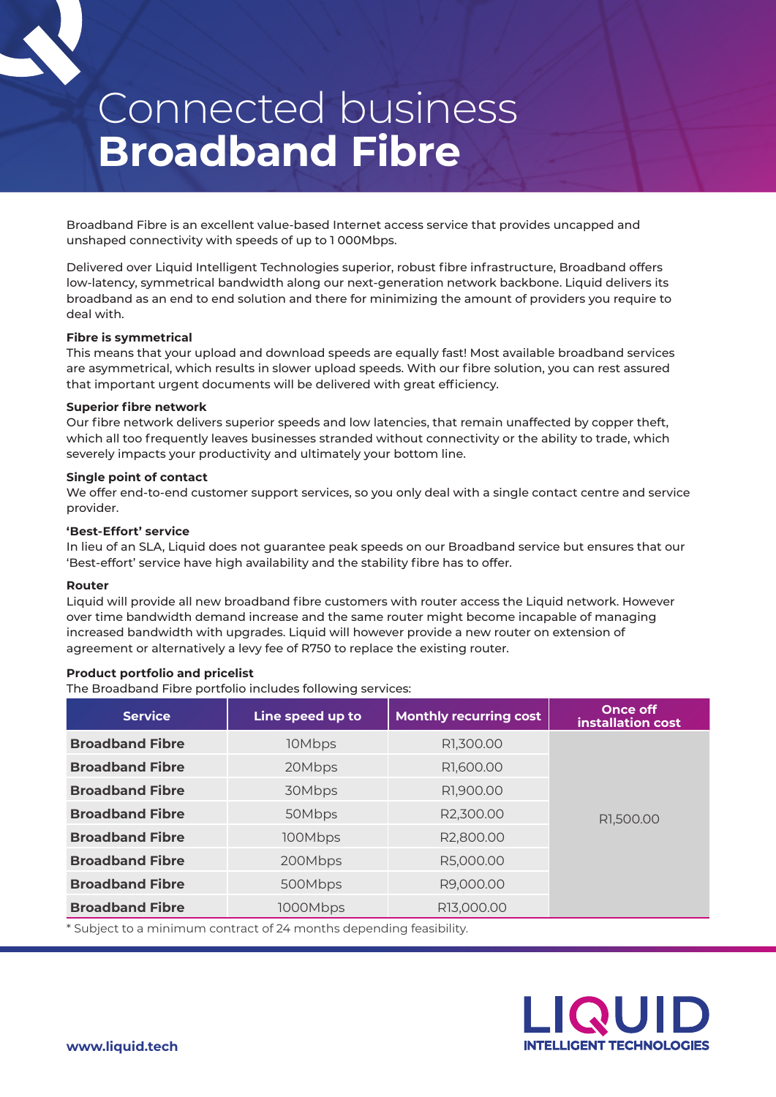# Connected business **Broadband Fibre**

Broadband Fibre is an excellent value-based Internet access service that provides uncapped and unshaped connectivity with speeds of up to 1 000Mbps.

Delivered over Liquid Intelligent Technologies superior, robust fibre infrastructure, Broadband offers low-latency, symmetrical bandwidth along our next-generation network backbone. Liquid delivers its broadband as an end to end solution and there for minimizing the amount of providers you require to deal with.

# **Fibre is symmetrical**

This means that your upload and download speeds are equally fast! Most available broadband services are asymmetrical, which results in slower upload speeds. With our fibre solution, you can rest assured that important urgent documents will be delivered with great efficiency.

#### **Superior fibre network**

Our fibre network delivers superior speeds and low latencies, that remain unaffected by copper theft, which all too frequently leaves businesses stranded without connectivity or the ability to trade, which severely impacts your productivity and ultimately your bottom line.

#### **Single point of contact**

We offer end-to-end customer support services, so you only deal with a single contact centre and service provider.

#### **'Best-Effort' service**

In lieu of an SLA, Liquid does not guarantee peak speeds on our Broadband service but ensures that our 'Best-effort' service have high availability and the stability fibre has to offer.

#### **Router**

Liquid will provide all new broadband fibre customers with router access the Liquid network. However over time bandwidth demand increase and the same router might become incapable of managing increased bandwidth with upgrades. Liquid will however provide a new router on extension of agreement or alternatively a levy fee of R750 to replace the existing router.

# **Product portfolio and pricelist**

The Broadband Fibre portfolio includes following services:

| <b>Service</b>         | Line speed up to | <b>Monthly recurring cost</b> | <b>Once off</b><br>installation cost |
|------------------------|------------------|-------------------------------|--------------------------------------|
| <b>Broadband Fibre</b> | 10Mbps           | R1,300.00                     | R1,500.00                            |
| <b>Broadband Fibre</b> | 20Mbps           | R1,600.00                     |                                      |
| <b>Broadband Fibre</b> | 30Mbps           | R1,900.00                     |                                      |
| <b>Broadband Fibre</b> | 50Mbps           | R2,300.00                     |                                      |
| <b>Broadband Fibre</b> | 100Mbps          | R2,800.00                     |                                      |
| <b>Broadband Fibre</b> | 200Mbps          | R5,000.00                     |                                      |
| <b>Broadband Fibre</b> | 500Mbps          | R9,000.00                     |                                      |
| <b>Broadband Fibre</b> | 1000Mbps         | R13,000.00                    |                                      |
|                        |                  |                               |                                      |

\* Subject to a minimum contract of 24 months depending feasibility.